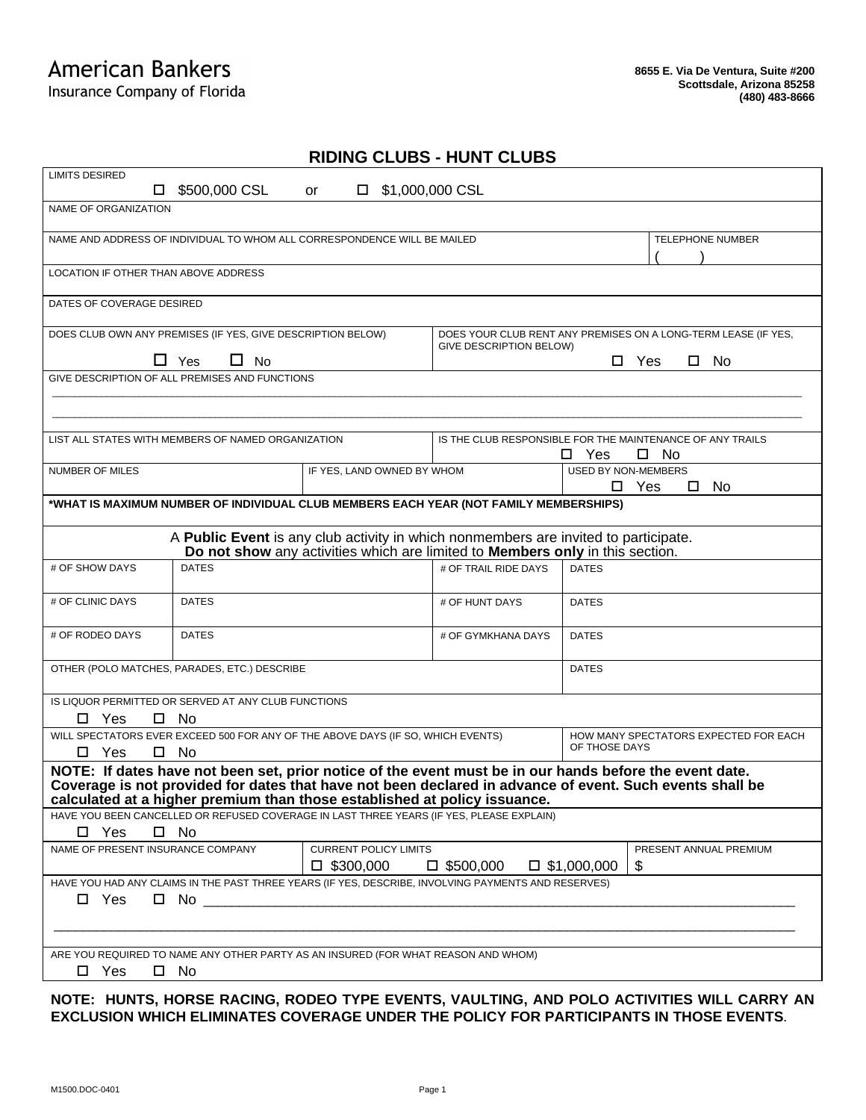## Insurance Company of Florida

## **RIDING CLUBS - HUNT CLUBS**

| <b>LIMITS DESIRED</b>                                                                                                                                                                                                                                                                            |                                                    |                                                                                          |                                                                                           |                            |                                       |  |  |
|--------------------------------------------------------------------------------------------------------------------------------------------------------------------------------------------------------------------------------------------------------------------------------------------------|----------------------------------------------------|------------------------------------------------------------------------------------------|-------------------------------------------------------------------------------------------|----------------------------|---------------------------------------|--|--|
| \$500,000 CSL<br>\$1,000,000 CSL<br>□<br>□<br>or                                                                                                                                                                                                                                                 |                                                    |                                                                                          |                                                                                           |                            |                                       |  |  |
| NAME OF ORGANIZATION                                                                                                                                                                                                                                                                             |                                                    |                                                                                          |                                                                                           |                            |                                       |  |  |
| NAME AND ADDRESS OF INDIVIDUAL TO WHOM ALL CORRESPONDENCE WILL BE MAILED                                                                                                                                                                                                                         |                                                    |                                                                                          |                                                                                           | <b>TELEPHONE NUMBER</b>    |                                       |  |  |
|                                                                                                                                                                                                                                                                                                  | LOCATION IF OTHER THAN ABOVE ADDRESS               |                                                                                          |                                                                                           |                            |                                       |  |  |
| DATES OF COVERAGE DESIRED                                                                                                                                                                                                                                                                        |                                                    |                                                                                          |                                                                                           |                            |                                       |  |  |
| DOES CLUB OWN ANY PREMISES (IF YES, GIVE DESCRIPTION BELOW)                                                                                                                                                                                                                                      |                                                    |                                                                                          | DOES YOUR CLUB RENT ANY PREMISES ON A LONG-TERM LEASE (IF YES,<br>GIVE DESCRIPTION BELOW) |                            |                                       |  |  |
| $\Box$ Yes<br>$\Box$ No                                                                                                                                                                                                                                                                          |                                                    |                                                                                          | $\square$ No<br>$\square$ Yes                                                             |                            |                                       |  |  |
|                                                                                                                                                                                                                                                                                                  | GIVE DESCRIPTION OF ALL PREMISES AND FUNCTIONS     |                                                                                          |                                                                                           |                            |                                       |  |  |
|                                                                                                                                                                                                                                                                                                  |                                                    |                                                                                          |                                                                                           |                            |                                       |  |  |
|                                                                                                                                                                                                                                                                                                  |                                                    |                                                                                          |                                                                                           |                            |                                       |  |  |
|                                                                                                                                                                                                                                                                                                  | LIST ALL STATES WITH MEMBERS OF NAMED ORGANIZATION |                                                                                          | IS THE CLUB RESPONSIBLE FOR THE MAINTENANCE OF ANY TRAILS                                 |                            |                                       |  |  |
|                                                                                                                                                                                                                                                                                                  |                                                    |                                                                                          |                                                                                           | Yes<br>□                   | □ No                                  |  |  |
| <b>NUMBER OF MILES</b>                                                                                                                                                                                                                                                                           |                                                    | IF YES, LAND OWNED BY WHOM                                                               |                                                                                           | <b>USED BY NON-MEMBERS</b> |                                       |  |  |
|                                                                                                                                                                                                                                                                                                  |                                                    |                                                                                          |                                                                                           | □                          | Yes<br>0<br>No                        |  |  |
|                                                                                                                                                                                                                                                                                                  |                                                    | *WHAT IS MAXIMUM NUMBER OF INDIVIDUAL CLUB MEMBERS EACH YEAR (NOT FAMILY MEMBERSHIPS)    |                                                                                           |                            |                                       |  |  |
| A Public Event is any club activity in which nonmembers are invited to participate.<br>Do not show any activities which are limited to Members only in this section.                                                                                                                             |                                                    |                                                                                          |                                                                                           |                            |                                       |  |  |
| # OF SHOW DAYS                                                                                                                                                                                                                                                                                   | <b>DATES</b>                                       |                                                                                          | # OF TRAIL RIDE DAYS                                                                      | <b>DATES</b>               |                                       |  |  |
| # OF CLINIC DAYS                                                                                                                                                                                                                                                                                 | <b>DATES</b>                                       |                                                                                          | # OF HUNT DAYS                                                                            | <b>DATES</b>               |                                       |  |  |
| # OF RODEO DAYS                                                                                                                                                                                                                                                                                  | <b>DATES</b>                                       |                                                                                          | # OF GYMKHANA DAYS                                                                        | <b>DATES</b>               |                                       |  |  |
|                                                                                                                                                                                                                                                                                                  | OTHER (POLO MATCHES, PARADES, ETC.) DESCRIBE       |                                                                                          |                                                                                           | <b>DATES</b>               |                                       |  |  |
| IS LIQUOR PERMITTED OR SERVED AT ANY CLUB FUNCTIONS                                                                                                                                                                                                                                              |                                                    |                                                                                          |                                                                                           |                            |                                       |  |  |
| $\Box$ Yes<br>$\square$ No                                                                                                                                                                                                                                                                       |                                                    |                                                                                          |                                                                                           |                            |                                       |  |  |
| WILL SPECTATORS EVER EXCEED 500 FOR ANY OF THE ABOVE DAYS (IF SO, WHICH EVENTS)                                                                                                                                                                                                                  |                                                    |                                                                                          |                                                                                           |                            | HOW MANY SPECTATORS EXPECTED FOR EACH |  |  |
| $\square$ Yes                                                                                                                                                                                                                                                                                    | □ No                                               |                                                                                          |                                                                                           | OF THOSE DAYS              |                                       |  |  |
| NOTE: If dates have not been set, prior notice of the event must be in our hands before the event date.<br>Coverage is not provided for dates that have not been declared in advance of event. Such events shall be<br>calculated at a higher premium than those established at policy issuance. |                                                    |                                                                                          |                                                                                           |                            |                                       |  |  |
|                                                                                                                                                                                                                                                                                                  |                                                    | HAVE YOU BEEN CANCELLED OR REFUSED COVERAGE IN LAST THREE YEARS (IF YES, PLEASE EXPLAIN) |                                                                                           |                            |                                       |  |  |
| $\square$ Yes                                                                                                                                                                                                                                                                                    | $\square$ No                                       |                                                                                          |                                                                                           |                            |                                       |  |  |
| NAME OF PRESENT INSURANCE COMPANY                                                                                                                                                                                                                                                                | <b>CURRENT POLICY LIMITS</b>                       |                                                                                          |                                                                                           | PRESENT ANNUAL PREMIUM     |                                       |  |  |
|                                                                                                                                                                                                                                                                                                  |                                                    | $\square$ \$300,000                                                                      | $\square$ \$500,000                                                                       | $\Box$ \$1,000,000<br>\$   |                                       |  |  |
| HAVE YOU HAD ANY CLAIMS IN THE PAST THREE YEARS (IF YES, DESCRIBE, INVOLVING PAYMENTS AND RESERVES)                                                                                                                                                                                              |                                                    |                                                                                          |                                                                                           |                            |                                       |  |  |
| $\square$ Yes<br>$\Box$ No $\Box$                                                                                                                                                                                                                                                                |                                                    |                                                                                          |                                                                                           |                            |                                       |  |  |
|                                                                                                                                                                                                                                                                                                  |                                                    |                                                                                          |                                                                                           |                            |                                       |  |  |
| ARE YOU REQUIRED TO NAME ANY OTHER PARTY AS AN INSURED (FOR WHAT REASON AND WHOM)                                                                                                                                                                                                                |                                                    |                                                                                          |                                                                                           |                            |                                       |  |  |
| $\square$ Yes                                                                                                                                                                                                                                                                                    | $\square$ No                                       |                                                                                          |                                                                                           |                            |                                       |  |  |
|                                                                                                                                                                                                                                                                                                  |                                                    |                                                                                          |                                                                                           |                            |                                       |  |  |

**NOTE: HUNTS, HORSE RACING, RODEO TYPE EVENTS, VAULTING, AND POLO ACTIVITIES WILL CARRY AN EXCLUSION WHICH ELIMINATES COVERAGE UNDER THE POLICY FOR PARTICIPANTS IN THOSE EVENTS**.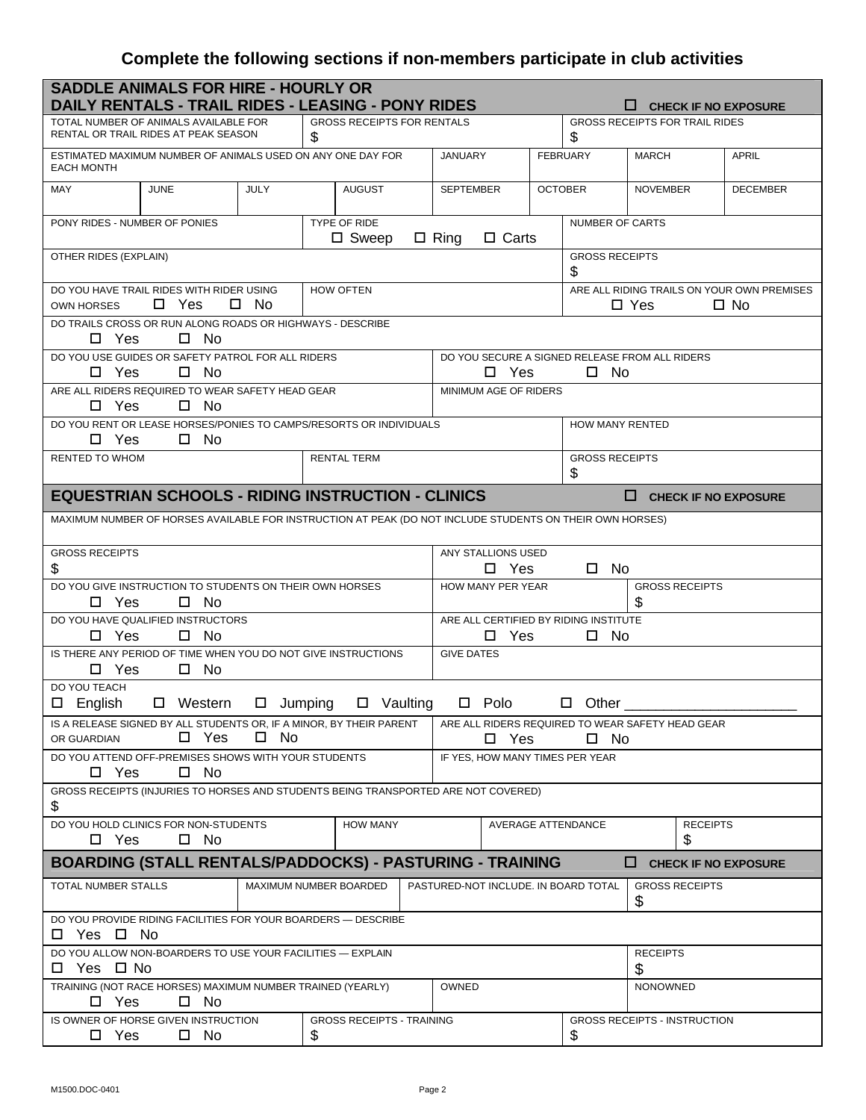## **Complete the following sections if non-members participate in club activities**

| <b>SADDLE ANIMALS FOR HIRE - HOURLY OR</b><br>DAILY RENTALS - TRAIL RIDES - LEASING - PONY RIDES<br><b>CHECK IF NO EXPOSURE</b>      |             |                                        |                                                                                 |                                                                          |                                           |                             |                 |
|--------------------------------------------------------------------------------------------------------------------------------------|-------------|----------------------------------------|---------------------------------------------------------------------------------|--------------------------------------------------------------------------|-------------------------------------------|-----------------------------|-----------------|
| <b>GROSS RECEIPTS FOR RENTALS</b><br>TOTAL NUMBER OF ANIMALS AVAILABLE FOR<br>RENTAL OR TRAIL RIDES AT PEAK SEASON<br>\$             |             |                                        | \$                                                                              |                                                                          | <b>GROSS RECEIPTS FOR TRAIL RIDES</b>     |                             |                 |
| ESTIMATED MAXIMUM NUMBER OF ANIMALS USED ON ANY ONE DAY FOR<br><b>EACH MONTH</b>                                                     |             |                                        | <b>JANUARY</b>                                                                  |                                                                          | <b>FEBRUARY</b>                           | <b>MARCH</b>                | <b>APRIL</b>    |
| <b>MAY</b><br><b>JUNE</b>                                                                                                            | <b>JULY</b> | <b>AUGUST</b>                          | <b>SEPTEMBER</b>                                                                |                                                                          | <b>OCTOBER</b>                            | <b>NOVEMBER</b>             | <b>DECEMBER</b> |
| PONY RIDES - NUMBER OF PONIES                                                                                                        |             | TYPE OF RIDE<br>$\square$ Sweep        | $\Box$ Ring<br>$\Box$ Carts                                                     |                                                                          | <b>NUMBER OF CARTS</b>                    |                             |                 |
| OTHER RIDES (EXPLAIN)                                                                                                                |             |                                        |                                                                                 | <b>GROSS RECEIPTS</b><br>\$                                              |                                           |                             |                 |
| DO YOU HAVE TRAIL RIDES WITH RIDER USING<br><b>HOW OFTEN</b><br>$\square$ Yes<br>□ No<br><b>OWN HORSES</b>                           |             |                                        |                                                                                 | ARE ALL RIDING TRAILS ON YOUR OWN PREMISES<br>$\Box$ Yes<br>$\square$ No |                                           |                             |                 |
| DO TRAILS CROSS OR RUN ALONG ROADS OR HIGHWAYS - DESCRIBE<br>$\square$ No<br>$\Box$ Yes                                              |             |                                        |                                                                                 |                                                                          |                                           |                             |                 |
| DO YOU USE GUIDES OR SAFETY PATROL FOR ALL RIDERS<br>$\Box$ Yes<br>$\Box$ No                                                         |             |                                        | DO YOU SECURE A SIGNED RELEASE FROM ALL RIDERS<br>$\square$ Yes<br>$\square$ No |                                                                          |                                           |                             |                 |
| ARE ALL RIDERS REQUIRED TO WEAR SAFETY HEAD GEAR<br>$\Box$ Yes<br>$\Box$ No                                                          |             |                                        | MINIMUM AGE OF RIDERS                                                           |                                                                          |                                           |                             |                 |
| DO YOU RENT OR LEASE HORSES/PONIES TO CAMPS/RESORTS OR INDIVIDUALS<br>$\Box$ Yes<br>$\square$ No                                     |             |                                        | <b>HOW MANY RENTED</b>                                                          |                                                                          |                                           |                             |                 |
| RENTED TO WHOM                                                                                                                       |             | <b>RENTAL TERM</b>                     |                                                                                 | <b>GROSS RECEIPTS</b><br>\$                                              |                                           |                             |                 |
| <b>EQUESTRIAN SCHOOLS - RIDING INSTRUCTION - CLINICS</b>                                                                             |             |                                        |                                                                                 |                                                                          |                                           | $\Box$ CHECK IF NO EXPOSURE |                 |
| MAXIMUM NUMBER OF HORSES AVAILABLE FOR INSTRUCTION AT PEAK (DO NOT INCLUDE STUDENTS ON THEIR OWN HORSES)                             |             |                                        |                                                                                 |                                                                          |                                           |                             |                 |
| <b>GROSS RECEIPTS</b><br>\$                                                                                                          |             |                                        | ANY STALLIONS USED<br>$\square$ Yes<br>$\square$ No                             |                                                                          |                                           |                             |                 |
| DO YOU GIVE INSTRUCTION TO STUDENTS ON THEIR OWN HORSES<br>$\Box$ Yes<br>□ No                                                        |             |                                        | HOW MANY PER YEAR<br><b>GROSS RECEIPTS</b><br>\$                                |                                                                          |                                           |                             |                 |
| DO YOU HAVE QUALIFIED INSTRUCTORS<br>$\Box$ Yes<br>$\square$ No                                                                      |             |                                        | ARE ALL CERTIFIED BY RIDING INSTITUTE<br>$\Box$ Yes<br>$\square$ No             |                                                                          |                                           |                             |                 |
| IS THERE ANY PERIOD OF TIME WHEN YOU DO NOT GIVE INSTRUCTIONS<br><b>GIVE DATES</b><br>$\Box$ Yes<br>$\square$ No                     |             |                                        |                                                                                 |                                                                          |                                           |                             |                 |
| DO YOU TEACH<br>$\square$ Vaulting<br>$\square$ Polo<br>$\square$ English<br>$\square$ Western<br>□  <br>Jumping<br>Other<br>□       |             |                                        |                                                                                 |                                                                          |                                           |                             |                 |
| IS A RELEASE SIGNED BY ALL STUDENTS OR, IF A MINOR, BY THEIR PARENT<br>$\square$ Yes<br>□ No<br>OR GUARDIAN                          |             |                                        | ARE ALL RIDERS REQUIRED TO WEAR SAFETY HEAD GEAR<br>$\Box$ Yes<br>$\square$ No  |                                                                          |                                           |                             |                 |
| DO YOU ATTEND OFF-PREMISES SHOWS WITH YOUR STUDENTS<br>IF YES. HOW MANY TIMES PER YEAR<br>$\square$ Yes<br>$\square$ No              |             |                                        |                                                                                 |                                                                          |                                           |                             |                 |
| GROSS RECEIPTS (INJURIES TO HORSES AND STUDENTS BEING TRANSPORTED ARE NOT COVERED)<br>\$                                             |             |                                        |                                                                                 |                                                                          |                                           |                             |                 |
| DO YOU HOLD CLINICS FOR NON-STUDENTS<br><b>HOW MANY</b><br>AVERAGE ATTENDANCE<br><b>RECEIPTS</b><br>$\Box$ Yes<br>\$<br>$\square$ No |             |                                        |                                                                                 |                                                                          |                                           |                             |                 |
| <b>BOARDING (STALL RENTALS/PADDOCKS) - PASTURING - TRAINING</b><br>$\Box$ CHECK IF NO EXPOSURE                                       |             |                                        |                                                                                 |                                                                          |                                           |                             |                 |
| TOTAL NUMBER STALLS                                                                                                                  |             | MAXIMUM NUMBER BOARDED                 | PASTURED-NOT INCLUDE. IN BOARD TOTAL                                            |                                                                          |                                           | <b>GROSS RECEIPTS</b><br>\$ |                 |
| DO YOU PROVIDE RIDING FACILITIES FOR YOUR BOARDERS - DESCRIBE<br>□ Yes □ No                                                          |             |                                        |                                                                                 |                                                                          |                                           |                             |                 |
| DO YOU ALLOW NON-BOARDERS TO USE YOUR FACILITIES - EXPLAIN<br>□ Yes □ No                                                             |             | <b>RECEIPTS</b><br>\$                  |                                                                                 |                                                                          |                                           |                             |                 |
| TRAINING (NOT RACE HORSES) MAXIMUM NUMBER TRAINED (YEARLY)<br>$\Box$ Yes<br>$\square$ No                                             |             |                                        | <b>OWNED</b><br><b>NONOWNED</b>                                                 |                                                                          |                                           |                             |                 |
| IS OWNER OF HORSE GIVEN INSTRUCTION<br>$\square$ Yes<br>$\square$ No                                                                 |             | <b>GROSS RECEIPTS - TRAINING</b><br>\$ |                                                                                 |                                                                          | <b>GROSS RECEIPTS - INSTRUCTION</b><br>\$ |                             |                 |